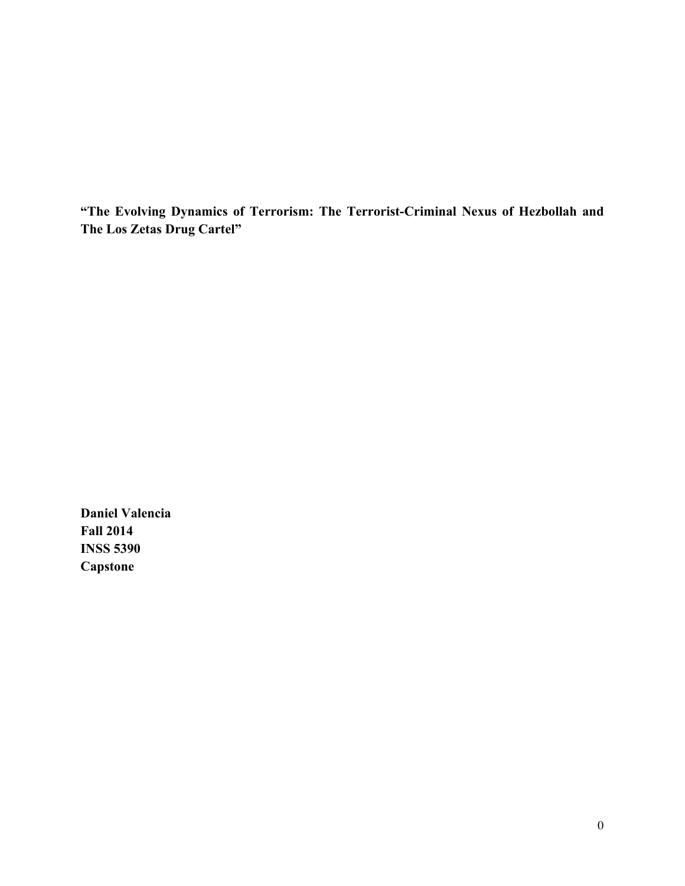**"The Evolving Dynamics of Terrorism: The Terrorist-Criminal Nexus of Hezbollah and The Los Zetas Drug Cartel"**

**Daniel Valencia Fall 2014 INSS 5390 Capstone**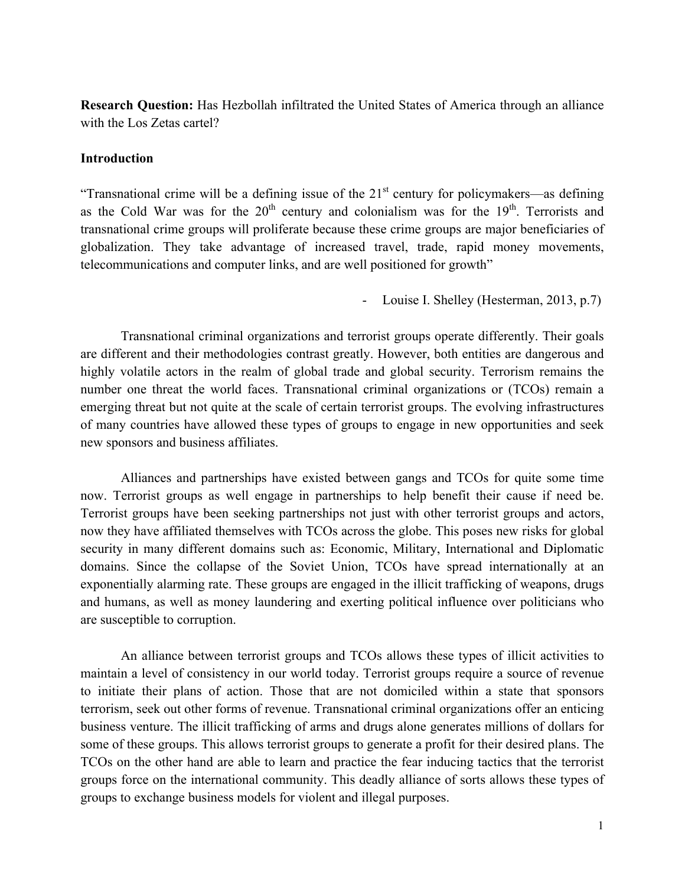**Research Question:** Has Hezbollah infiltrated the United States of America through an alliance with the Los Zetas cartel?

## **Introduction**

"Transnational crime will be a defining issue of the  $21<sup>st</sup>$  century for policymakers—as defining as the Cold War was for the  $20<sup>th</sup>$  century and colonialism was for the  $19<sup>th</sup>$ . Terrorists and transnational crime groups will proliferate because these crime groups are major beneficiaries of globalization. They take advantage of increased travel, trade, rapid money movements, telecommunications and computer links, and are well positioned for growth"

- Louise I. Shelley (Hesterman, 2013, p.7)

Transnational criminal organizations and terrorist groups operate differently. Their goals are different and their methodologies contrast greatly. However, both entities are dangerous and highly volatile actors in the realm of global trade and global security. Terrorism remains the number one threat the world faces. Transnational criminal organizations or (TCOs) remain a emerging threat but not quite at the scale of certain terrorist groups. The evolving infrastructures of many countries have allowed these types of groups to engage in new opportunities and seek new sponsors and business affiliates.

Alliances and partnerships have existed between gangs and TCOs for quite some time now. Terrorist groups as well engage in partnerships to help benefit their cause if need be. Terrorist groups have been seeking partnerships not just with other terrorist groups and actors, now they have affiliated themselves with TCOs across the globe. This poses new risks for global security in many different domains such as: Economic, Military, International and Diplomatic domains. Since the collapse of the Soviet Union, TCOs have spread internationally at an exponentially alarming rate. These groups are engaged in the illicit trafficking of weapons, drugs and humans, as well as money laundering and exerting political influence over politicians who are susceptible to corruption.

An alliance between terrorist groups and TCOs allows these types of illicit activities to maintain a level of consistency in our world today. Terrorist groups require a source of revenue to initiate their plans of action. Those that are not domiciled within a state that sponsors terrorism, seek out other forms of revenue. Transnational criminal organizations offer an enticing business venture. The illicit trafficking of arms and drugs alone generates millions of dollars for some of these groups. This allows terrorist groups to generate a profit for their desired plans. The TCOs on the other hand are able to learn and practice the fear inducing tactics that the terrorist groups force on the international community. This deadly alliance of sorts allows these types of groups to exchange business models for violent and illegal purposes.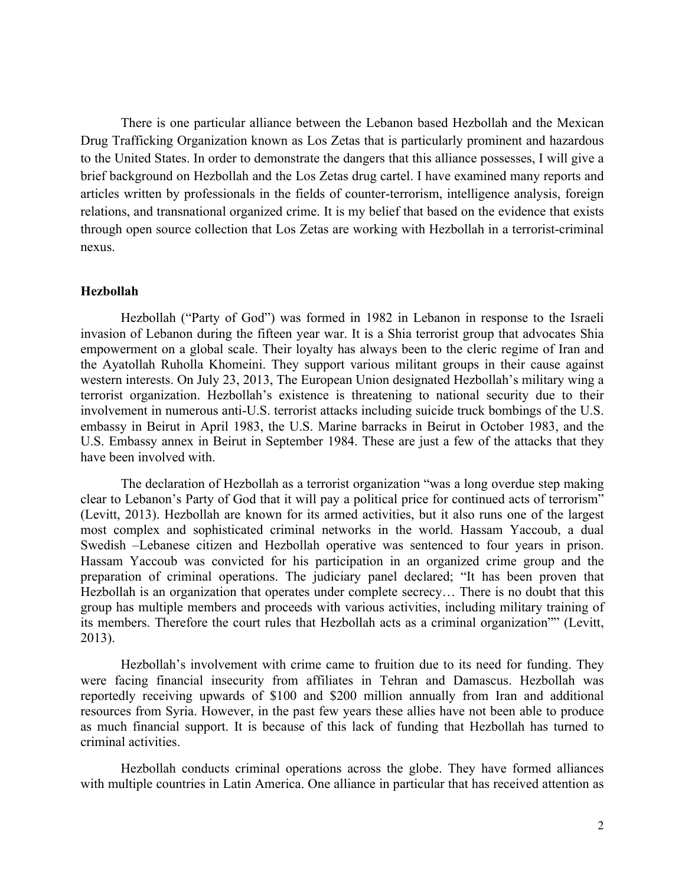There is one particular alliance between the Lebanon based Hezbollah and the Mexican Drug Trafficking Organization known as Los Zetas that is particularly prominent and hazardous to the United States. In order to demonstrate the dangers that this alliance possesses, I will give a brief background on Hezbollah and the Los Zetas drug cartel. I have examined many reports and articles written by professionals in the fields of counter-terrorism, intelligence analysis, foreign relations, and transnational organized crime. It is my belief that based on the evidence that exists through open source collection that Los Zetas are working with Hezbollah in a terrorist-criminal nexus.

## **Hezbollah**

Hezbollah ("Party of God") was formed in 1982 in Lebanon in response to the Israeli invasion of Lebanon during the fifteen year war. It is a Shia terrorist group that advocates Shia empowerment on a global scale. Their loyalty has always been to the cleric regime of Iran and the Ayatollah Ruholla Khomeini. They support various militant groups in their cause against western interests. On July 23, 2013, The European Union designated Hezbollah's military wing a terrorist organization. Hezbollah's existence is threatening to national security due to their involvement in numerous anti-U.S. terrorist attacks including suicide truck bombings of the U.S. embassy in Beirut in April 1983, the U.S. Marine barracks in Beirut in October 1983, and the U.S. Embassy annex in Beirut in September 1984. These are just a few of the attacks that they have been involved with.

The declaration of Hezbollah as a terrorist organization "was a long overdue step making clear to Lebanon's Party of God that it will pay a political price for continued acts of terrorism" (Levitt, 2013). Hezbollah are known for its armed activities, but it also runs one of the largest most complex and sophisticated criminal networks in the world. Hassam Yaccoub, a dual Swedish –Lebanese citizen and Hezbollah operative was sentenced to four years in prison. Hassam Yaccoub was convicted for his participation in an organized crime group and the preparation of criminal operations. The judiciary panel declared; "It has been proven that Hezbollah is an organization that operates under complete secrecy… There is no doubt that this group has multiple members and proceeds with various activities, including military training of its members. Therefore the court rules that Hezbollah acts as a criminal organization"" (Levitt, 2013).

Hezbollah's involvement with crime came to fruition due to its need for funding. They were facing financial insecurity from affiliates in Tehran and Damascus. Hezbollah was reportedly receiving upwards of \$100 and \$200 million annually from Iran and additional resources from Syria. However, in the past few years these allies have not been able to produce as much financial support. It is because of this lack of funding that Hezbollah has turned to criminal activities.

Hezbollah conducts criminal operations across the globe. They have formed alliances with multiple countries in Latin America. One alliance in particular that has received attention as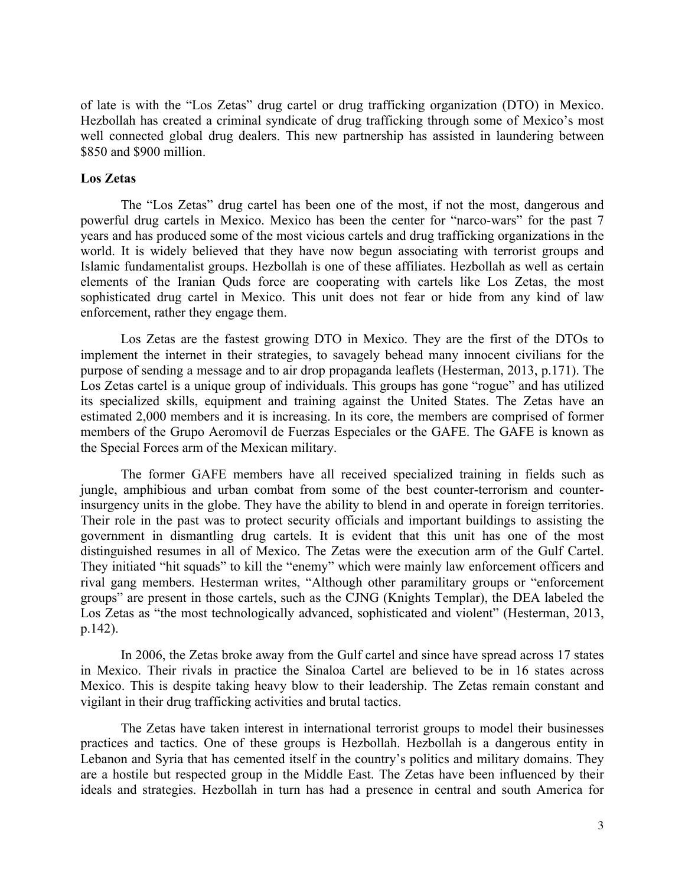of late is with the "Los Zetas" drug cartel or drug trafficking organization (DTO) in Mexico. Hezbollah has created a criminal syndicate of drug trafficking through some of Mexico's most well connected global drug dealers. This new partnership has assisted in laundering between \$850 and \$900 million.

# **Los Zetas**

The "Los Zetas" drug cartel has been one of the most, if not the most, dangerous and powerful drug cartels in Mexico. Mexico has been the center for "narco-wars" for the past 7 years and has produced some of the most vicious cartels and drug trafficking organizations in the world. It is widely believed that they have now begun associating with terrorist groups and Islamic fundamentalist groups. Hezbollah is one of these affiliates. Hezbollah as well as certain elements of the Iranian Quds force are cooperating with cartels like Los Zetas, the most sophisticated drug cartel in Mexico. This unit does not fear or hide from any kind of law enforcement, rather they engage them.

Los Zetas are the fastest growing DTO in Mexico. They are the first of the DTOs to implement the internet in their strategies, to savagely behead many innocent civilians for the purpose of sending a message and to air drop propaganda leaflets (Hesterman, 2013, p.171). The Los Zetas cartel is a unique group of individuals. This groups has gone "rogue" and has utilized its specialized skills, equipment and training against the United States. The Zetas have an estimated 2,000 members and it is increasing. In its core, the members are comprised of former members of the Grupo Aeromovil de Fuerzas Especiales or the GAFE. The GAFE is known as the Special Forces arm of the Mexican military.

The former GAFE members have all received specialized training in fields such as jungle, amphibious and urban combat from some of the best counter-terrorism and counterinsurgency units in the globe. They have the ability to blend in and operate in foreign territories. Their role in the past was to protect security officials and important buildings to assisting the government in dismantling drug cartels. It is evident that this unit has one of the most distinguished resumes in all of Mexico. The Zetas were the execution arm of the Gulf Cartel. They initiated "hit squads" to kill the "enemy" which were mainly law enforcement officers and rival gang members. Hesterman writes, "Although other paramilitary groups or "enforcement groups" are present in those cartels, such as the CJNG (Knights Templar), the DEA labeled the Los Zetas as "the most technologically advanced, sophisticated and violent" (Hesterman, 2013, p.142).

In 2006, the Zetas broke away from the Gulf cartel and since have spread across 17 states in Mexico. Their rivals in practice the Sinaloa Cartel are believed to be in 16 states across Mexico. This is despite taking heavy blow to their leadership. The Zetas remain constant and vigilant in their drug trafficking activities and brutal tactics.

The Zetas have taken interest in international terrorist groups to model their businesses practices and tactics. One of these groups is Hezbollah. Hezbollah is a dangerous entity in Lebanon and Syria that has cemented itself in the country's politics and military domains. They are a hostile but respected group in the Middle East. The Zetas have been influenced by their ideals and strategies. Hezbollah in turn has had a presence in central and south America for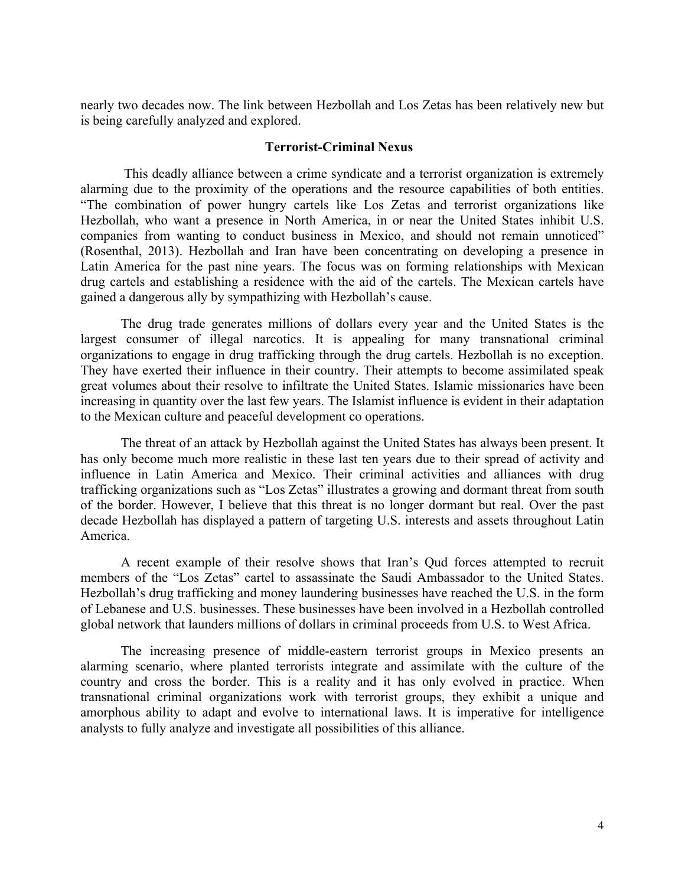nearly two decades now. The link between Hezbollah and Los Zetas has been relatively new but is being carefully analyzed and explored.

# **Terrorist-Criminal Nexus**

This deadly alliance between a crime syndicate and a terrorist organization is extremely alarming due to the proximity of the operations and the resource capabilities of both entities. "The combination of power hungry cartels like Los Zetas and terrorist organizations like Hezbollah, who want a presence in North America, in or near the United States inhibit U.S. companies from wanting to conduct business in Mexico, and should not remain unnoticed" (Rosenthal, 2013). Hezbollah and Iran have been concentrating on developing a presence in Latin America for the past nine years. The focus was on forming relationships with Mexican drug cartels and establishing a residence with the aid of the cartels. The Mexican cartels have gained a dangerous ally by sympathizing with Hezbollah's cause.

The drug trade generates millions of dollars every year and the United States is the largest consumer of illegal narcotics. It is appealing for many transnational criminal organizations to engage in drug trafficking through the drug cartels. Hezbollah is no exception. They have exerted their influence in their country. Their attempts to become assimilated speak great volumes about their resolve to infiltrate the United States. Islamic missionaries have been increasing in quantity over the last few years. The Islamist influence is evident in their adaptation to the Mexican culture and peaceful development co operations.

The threat of an attack by Hezbollah against the United States has always been present. It has only become much more realistic in these last ten years due to their spread of activity and influence in Latin America and Mexico. Their criminal activities and alliances with drug trafficking organizations such as "Los Zetas" illustrates a growing and dormant threat from south of the border. However, I believe that this threat is no longer dormant but real. Over the past decade Hezbollah has displayed a pattern of targeting U.S. interests and assets throughout Latin America.

A recent example of their resolve shows that Iran's Qud forces attempted to recruit members of the "Los Zetas" cartel to assassinate the Saudi Ambassador to the United States. Hezbollah's drug trafficking and money laundering businesses have reached the U.S. in the form of Lebanese and U.S. businesses. These businesses have been involved in a Hezbollah controlled global network that launders millions of dollars in criminal proceeds from U.S. to West Africa.

The increasing presence of middle-eastern terrorist groups in Mexico presents an alarming scenario, where planted terrorists integrate and assimilate with the culture of the country and cross the border. This is a reality and it has only evolved in practice. When transnational criminal organizations work with terrorist groups, they exhibit a unique and amorphous ability to adapt and evolve to international laws. It is imperative for intelligence analysts to fully analyze and investigate all possibilities of this alliance.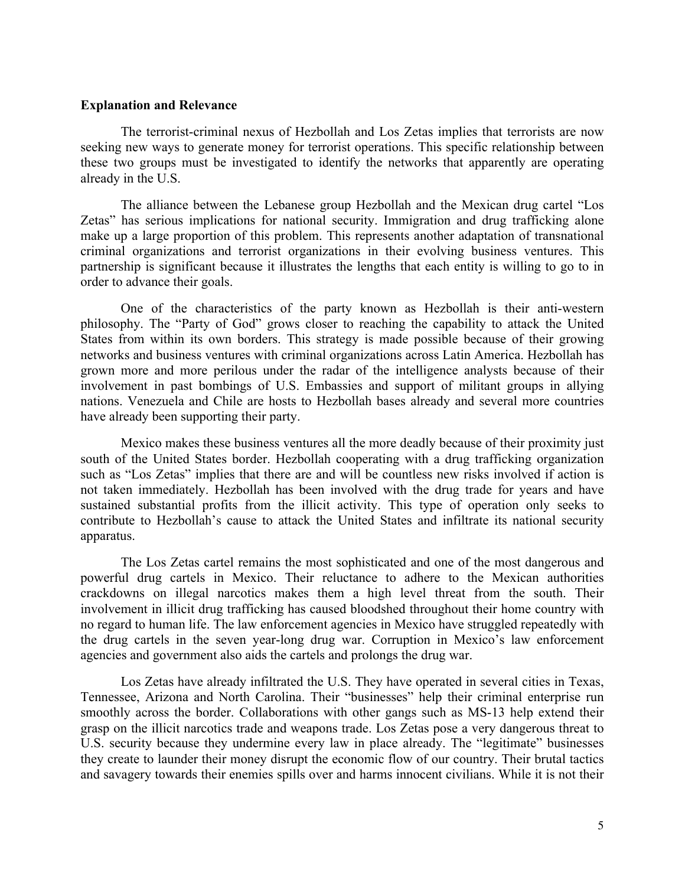## **Explanation and Relevance**

The terrorist-criminal nexus of Hezbollah and Los Zetas implies that terrorists are now seeking new ways to generate money for terrorist operations. This specific relationship between these two groups must be investigated to identify the networks that apparently are operating already in the U.S.

The alliance between the Lebanese group Hezbollah and the Mexican drug cartel "Los Zetas" has serious implications for national security. Immigration and drug trafficking alone make up a large proportion of this problem. This represents another adaptation of transnational criminal organizations and terrorist organizations in their evolving business ventures. This partnership is significant because it illustrates the lengths that each entity is willing to go to in order to advance their goals.

One of the characteristics of the party known as Hezbollah is their anti-western philosophy. The "Party of God" grows closer to reaching the capability to attack the United States from within its own borders. This strategy is made possible because of their growing networks and business ventures with criminal organizations across Latin America. Hezbollah has grown more and more perilous under the radar of the intelligence analysts because of their involvement in past bombings of U.S. Embassies and support of militant groups in allying nations. Venezuela and Chile are hosts to Hezbollah bases already and several more countries have already been supporting their party.

Mexico makes these business ventures all the more deadly because of their proximity just south of the United States border. Hezbollah cooperating with a drug trafficking organization such as "Los Zetas" implies that there are and will be countless new risks involved if action is not taken immediately. Hezbollah has been involved with the drug trade for years and have sustained substantial profits from the illicit activity. This type of operation only seeks to contribute to Hezbollah's cause to attack the United States and infiltrate its national security apparatus.

The Los Zetas cartel remains the most sophisticated and one of the most dangerous and powerful drug cartels in Mexico. Their reluctance to adhere to the Mexican authorities crackdowns on illegal narcotics makes them a high level threat from the south. Their involvement in illicit drug trafficking has caused bloodshed throughout their home country with no regard to human life. The law enforcement agencies in Mexico have struggled repeatedly with the drug cartels in the seven year-long drug war. Corruption in Mexico's law enforcement agencies and government also aids the cartels and prolongs the drug war.

Los Zetas have already infiltrated the U.S. They have operated in several cities in Texas, Tennessee, Arizona and North Carolina. Their "businesses" help their criminal enterprise run smoothly across the border. Collaborations with other gangs such as MS-13 help extend their grasp on the illicit narcotics trade and weapons trade. Los Zetas pose a very dangerous threat to U.S. security because they undermine every law in place already. The "legitimate" businesses they create to launder their money disrupt the economic flow of our country. Their brutal tactics and savagery towards their enemies spills over and harms innocent civilians. While it is not their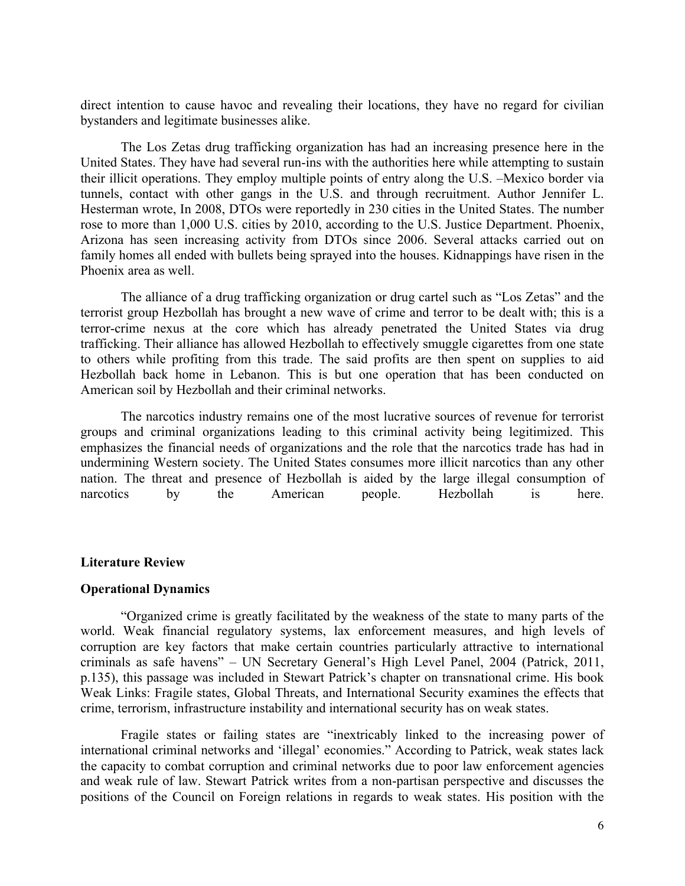direct intention to cause havoc and revealing their locations, they have no regard for civilian bystanders and legitimate businesses alike.

The Los Zetas drug trafficking organization has had an increasing presence here in the United States. They have had several run-ins with the authorities here while attempting to sustain their illicit operations. They employ multiple points of entry along the U.S. –Mexico border via tunnels, contact with other gangs in the U.S. and through recruitment. Author Jennifer L. Hesterman wrote, In 2008, DTOs were reportedly in 230 cities in the United States. The number rose to more than 1,000 U.S. cities by 2010, according to the U.S. Justice Department. Phoenix, Arizona has seen increasing activity from DTOs since 2006. Several attacks carried out on family homes all ended with bullets being sprayed into the houses. Kidnappings have risen in the Phoenix area as well.

The alliance of a drug trafficking organization or drug cartel such as "Los Zetas" and the terrorist group Hezbollah has brought a new wave of crime and terror to be dealt with; this is a terror-crime nexus at the core which has already penetrated the United States via drug trafficking. Their alliance has allowed Hezbollah to effectively smuggle cigarettes from one state to others while profiting from this trade. The said profits are then spent on supplies to aid Hezbollah back home in Lebanon. This is but one operation that has been conducted on American soil by Hezbollah and their criminal networks.

The narcotics industry remains one of the most lucrative sources of revenue for terrorist groups and criminal organizations leading to this criminal activity being legitimized. This emphasizes the financial needs of organizations and the role that the narcotics trade has had in undermining Western society. The United States consumes more illicit narcotics than any other nation. The threat and presence of Hezbollah is aided by the large illegal consumption of narcotics by the American people. Hezbollah is here.

#### **Literature Review**

### **Operational Dynamics**

"Organized crime is greatly facilitated by the weakness of the state to many parts of the world. Weak financial regulatory systems, lax enforcement measures, and high levels of corruption are key factors that make certain countries particularly attractive to international criminals as safe havens" – UN Secretary General's High Level Panel, 2004 (Patrick, 2011, p.135), this passage was included in Stewart Patrick's chapter on transnational crime. His book Weak Links: Fragile states, Global Threats, and International Security examines the effects that crime, terrorism, infrastructure instability and international security has on weak states.

Fragile states or failing states are "inextricably linked to the increasing power of international criminal networks and 'illegal' economies." According to Patrick, weak states lack the capacity to combat corruption and criminal networks due to poor law enforcement agencies and weak rule of law. Stewart Patrick writes from a non-partisan perspective and discusses the positions of the Council on Foreign relations in regards to weak states. His position with the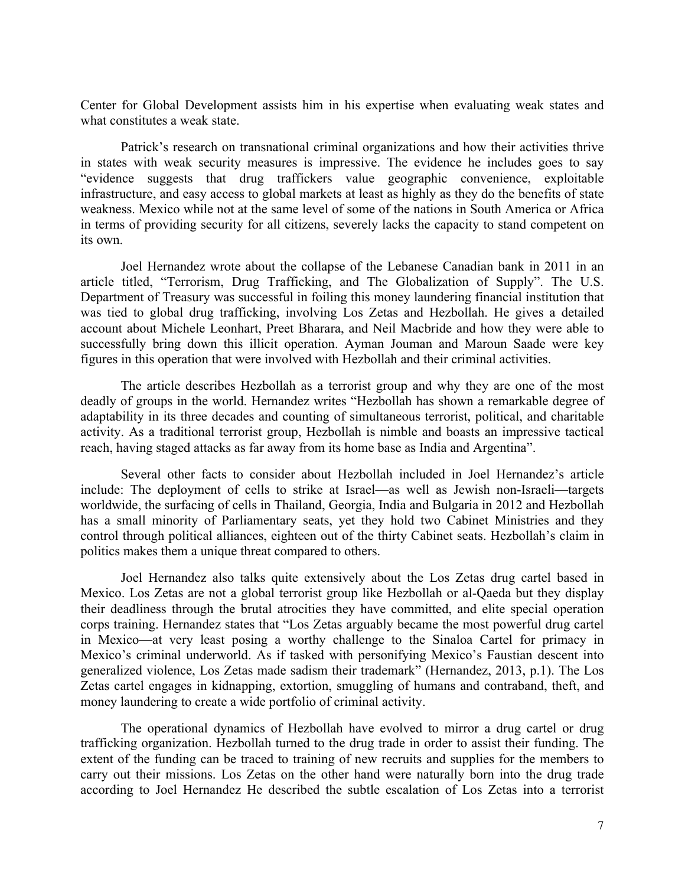Center for Global Development assists him in his expertise when evaluating weak states and what constitutes a weak state.

Patrick's research on transnational criminal organizations and how their activities thrive in states with weak security measures is impressive. The evidence he includes goes to say "evidence suggests that drug traffickers value geographic convenience, exploitable infrastructure, and easy access to global markets at least as highly as they do the benefits of state weakness. Mexico while not at the same level of some of the nations in South America or Africa in terms of providing security for all citizens, severely lacks the capacity to stand competent on its own.

Joel Hernandez wrote about the collapse of the Lebanese Canadian bank in 2011 in an article titled, "Terrorism, Drug Trafficking, and The Globalization of Supply". The U.S. Department of Treasury was successful in foiling this money laundering financial institution that was tied to global drug trafficking, involving Los Zetas and Hezbollah. He gives a detailed account about Michele Leonhart, Preet Bharara, and Neil Macbride and how they were able to successfully bring down this illicit operation. Ayman Jouman and Maroun Saade were key figures in this operation that were involved with Hezbollah and their criminal activities.

The article describes Hezbollah as a terrorist group and why they are one of the most deadly of groups in the world. Hernandez writes "Hezbollah has shown a remarkable degree of adaptability in its three decades and counting of simultaneous terrorist, political, and charitable activity. As a traditional terrorist group, Hezbollah is nimble and boasts an impressive tactical reach, having staged attacks as far away from its home base as India and Argentina".

Several other facts to consider about Hezbollah included in Joel Hernandez's article include: The deployment of cells to strike at Israel—as well as Jewish non-Israeli—targets worldwide, the surfacing of cells in Thailand, Georgia, India and Bulgaria in 2012 and Hezbollah has a small minority of Parliamentary seats, yet they hold two Cabinet Ministries and they control through political alliances, eighteen out of the thirty Cabinet seats. Hezbollah's claim in politics makes them a unique threat compared to others.

Joel Hernandez also talks quite extensively about the Los Zetas drug cartel based in Mexico. Los Zetas are not a global terrorist group like Hezbollah or al-Qaeda but they display their deadliness through the brutal atrocities they have committed, and elite special operation corps training. Hernandez states that "Los Zetas arguably became the most powerful drug cartel in Mexico—at very least posing a worthy challenge to the Sinaloa Cartel for primacy in Mexico's criminal underworld. As if tasked with personifying Mexico's Faustian descent into generalized violence, Los Zetas made sadism their trademark" (Hernandez, 2013, p.1). The Los Zetas cartel engages in kidnapping, extortion, smuggling of humans and contraband, theft, and money laundering to create a wide portfolio of criminal activity.

The operational dynamics of Hezbollah have evolved to mirror a drug cartel or drug trafficking organization. Hezbollah turned to the drug trade in order to assist their funding. The extent of the funding can be traced to training of new recruits and supplies for the members to carry out their missions. Los Zetas on the other hand were naturally born into the drug trade according to Joel Hernandez He described the subtle escalation of Los Zetas into a terrorist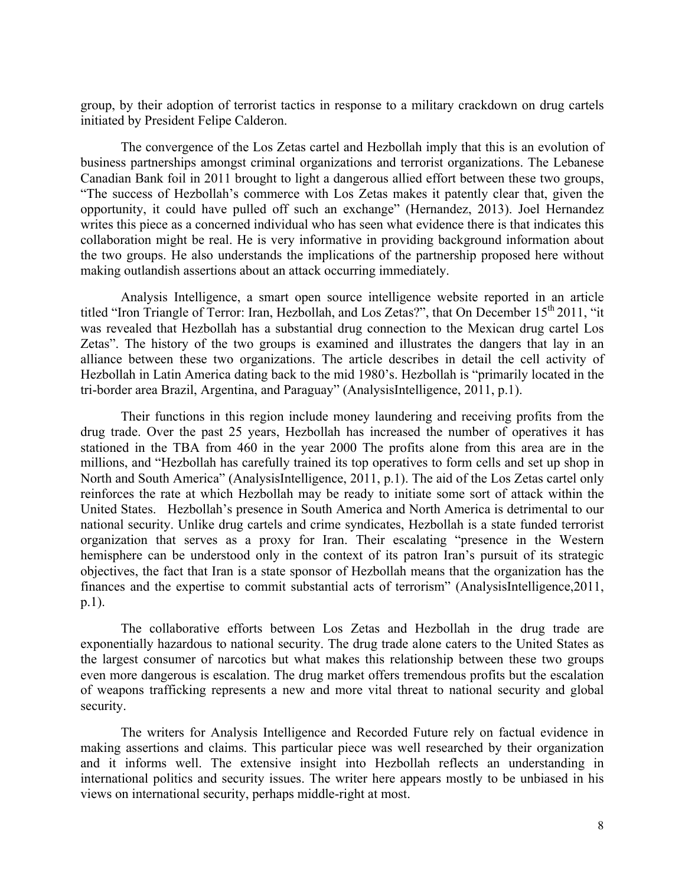group, by their adoption of terrorist tactics in response to a military crackdown on drug cartels initiated by President Felipe Calderon.

The convergence of the Los Zetas cartel and Hezbollah imply that this is an evolution of business partnerships amongst criminal organizations and terrorist organizations. The Lebanese Canadian Bank foil in 2011 brought to light a dangerous allied effort between these two groups, "The success of Hezbollah's commerce with Los Zetas makes it patently clear that, given the opportunity, it could have pulled off such an exchange" (Hernandez, 2013). Joel Hernandez writes this piece as a concerned individual who has seen what evidence there is that indicates this collaboration might be real. He is very informative in providing background information about the two groups. He also understands the implications of the partnership proposed here without making outlandish assertions about an attack occurring immediately.

Analysis Intelligence, a smart open source intelligence website reported in an article titled "Iron Triangle of Terror: Iran, Hezbollah, and Los Zetas?", that On December 15<sup>th</sup> 2011, "it was revealed that Hezbollah has a substantial drug connection to the Mexican drug cartel Los Zetas". The history of the two groups is examined and illustrates the dangers that lay in an alliance between these two organizations. The article describes in detail the cell activity of Hezbollah in Latin America dating back to the mid 1980's. Hezbollah is "primarily located in the tri-border area Brazil, Argentina, and Paraguay" (AnalysisIntelligence, 2011, p.1).

Their functions in this region include money laundering and receiving profits from the drug trade. Over the past 25 years, Hezbollah has increased the number of operatives it has stationed in the TBA from 460 in the year 2000 The profits alone from this area are in the millions, and "Hezbollah has carefully trained its top operatives to form cells and set up shop in North and South America" (AnalysisIntelligence, 2011, p.1). The aid of the Los Zetas cartel only reinforces the rate at which Hezbollah may be ready to initiate some sort of attack within the United States. Hezbollah's presence in South America and North America is detrimental to our national security. Unlike drug cartels and crime syndicates, Hezbollah is a state funded terrorist organization that serves as a proxy for Iran. Their escalating "presence in the Western hemisphere can be understood only in the context of its patron Iran's pursuit of its strategic objectives, the fact that Iran is a state sponsor of Hezbollah means that the organization has the finances and the expertise to commit substantial acts of terrorism" (AnalysisIntelligence,2011, p.1).

The collaborative efforts between Los Zetas and Hezbollah in the drug trade are exponentially hazardous to national security. The drug trade alone caters to the United States as the largest consumer of narcotics but what makes this relationship between these two groups even more dangerous is escalation. The drug market offers tremendous profits but the escalation of weapons trafficking represents a new and more vital threat to national security and global security.

The writers for Analysis Intelligence and Recorded Future rely on factual evidence in making assertions and claims. This particular piece was well researched by their organization and it informs well. The extensive insight into Hezbollah reflects an understanding in international politics and security issues. The writer here appears mostly to be unbiased in his views on international security, perhaps middle-right at most.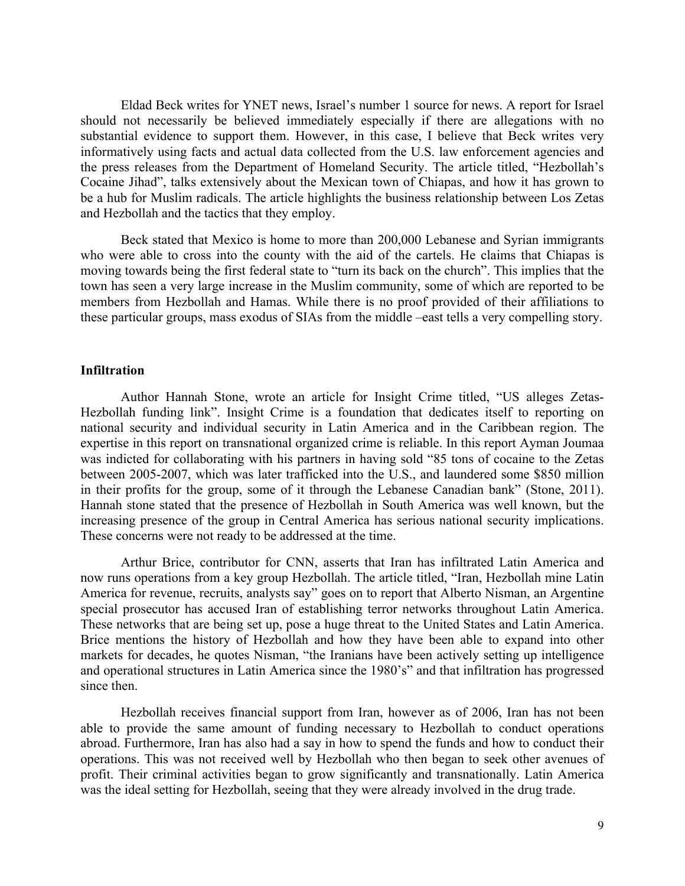Eldad Beck writes for YNET news, Israel's number 1 source for news. A report for Israel should not necessarily be believed immediately especially if there are allegations with no substantial evidence to support them. However, in this case, I believe that Beck writes very informatively using facts and actual data collected from the U.S. law enforcement agencies and the press releases from the Department of Homeland Security. The article titled, "Hezbollah's Cocaine Jihad", talks extensively about the Mexican town of Chiapas, and how it has grown to be a hub for Muslim radicals. The article highlights the business relationship between Los Zetas and Hezbollah and the tactics that they employ.

Beck stated that Mexico is home to more than 200,000 Lebanese and Syrian immigrants who were able to cross into the county with the aid of the cartels. He claims that Chiapas is moving towards being the first federal state to "turn its back on the church". This implies that the town has seen a very large increase in the Muslim community, some of which are reported to be members from Hezbollah and Hamas. While there is no proof provided of their affiliations to these particular groups, mass exodus of SIAs from the middle –east tells a very compelling story.

#### **Infiltration**

Author Hannah Stone, wrote an article for Insight Crime titled, "US alleges Zetas-Hezbollah funding link". Insight Crime is a foundation that dedicates itself to reporting on national security and individual security in Latin America and in the Caribbean region. The expertise in this report on transnational organized crime is reliable. In this report Ayman Joumaa was indicted for collaborating with his partners in having sold "85 tons of cocaine to the Zetas between 2005-2007, which was later trafficked into the U.S., and laundered some \$850 million in their profits for the group, some of it through the Lebanese Canadian bank" (Stone, 2011). Hannah stone stated that the presence of Hezbollah in South America was well known, but the increasing presence of the group in Central America has serious national security implications. These concerns were not ready to be addressed at the time.

Arthur Brice, contributor for CNN, asserts that Iran has infiltrated Latin America and now runs operations from a key group Hezbollah. The article titled, "Iran, Hezbollah mine Latin America for revenue, recruits, analysts say" goes on to report that Alberto Nisman, an Argentine special prosecutor has accused Iran of establishing terror networks throughout Latin America. These networks that are being set up, pose a huge threat to the United States and Latin America. Brice mentions the history of Hezbollah and how they have been able to expand into other markets for decades, he quotes Nisman, "the Iranians have been actively setting up intelligence and operational structures in Latin America since the 1980's" and that infiltration has progressed since then.

Hezbollah receives financial support from Iran, however as of 2006, Iran has not been able to provide the same amount of funding necessary to Hezbollah to conduct operations abroad. Furthermore, Iran has also had a say in how to spend the funds and how to conduct their operations. This was not received well by Hezbollah who then began to seek other avenues of profit. Their criminal activities began to grow significantly and transnationally. Latin America was the ideal setting for Hezbollah, seeing that they were already involved in the drug trade.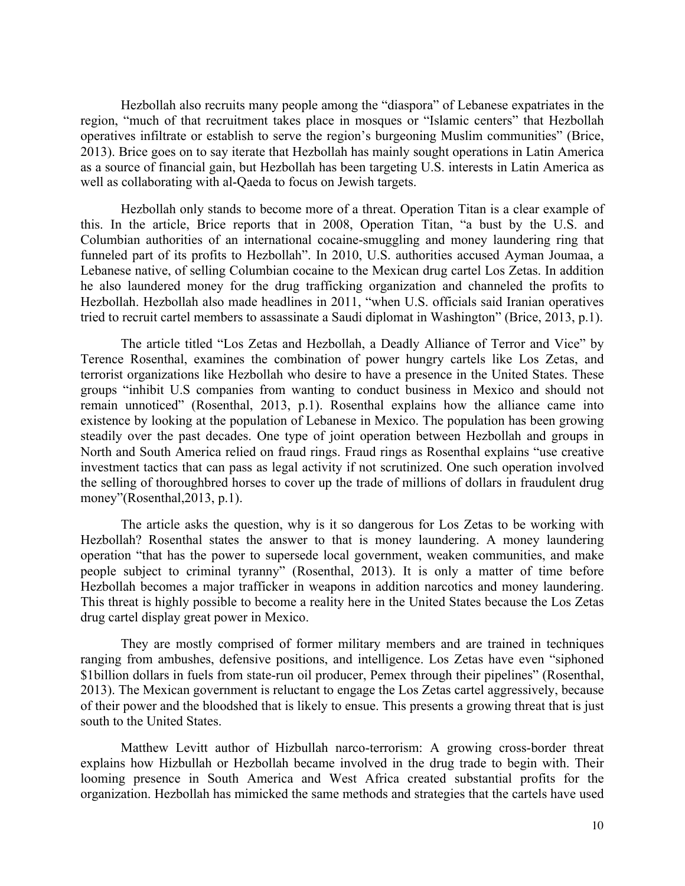Hezbollah also recruits many people among the "diaspora" of Lebanese expatriates in the region, "much of that recruitment takes place in mosques or "Islamic centers" that Hezbollah operatives infiltrate or establish to serve the region's burgeoning Muslim communities" (Brice, 2013). Brice goes on to say iterate that Hezbollah has mainly sought operations in Latin America as a source of financial gain, but Hezbollah has been targeting U.S. interests in Latin America as well as collaborating with al-Qaeda to focus on Jewish targets.

Hezbollah only stands to become more of a threat. Operation Titan is a clear example of this. In the article, Brice reports that in 2008, Operation Titan, "a bust by the U.S. and Columbian authorities of an international cocaine-smuggling and money laundering ring that funneled part of its profits to Hezbollah". In 2010, U.S. authorities accused Ayman Joumaa, a Lebanese native, of selling Columbian cocaine to the Mexican drug cartel Los Zetas. In addition he also laundered money for the drug trafficking organization and channeled the profits to Hezbollah. Hezbollah also made headlines in 2011, "when U.S. officials said Iranian operatives tried to recruit cartel members to assassinate a Saudi diplomat in Washington" (Brice, 2013, p.1).

The article titled "Los Zetas and Hezbollah, a Deadly Alliance of Terror and Vice" by Terence Rosenthal, examines the combination of power hungry cartels like Los Zetas, and terrorist organizations like Hezbollah who desire to have a presence in the United States. These groups "inhibit U.S companies from wanting to conduct business in Mexico and should not remain unnoticed" (Rosenthal, 2013, p.1). Rosenthal explains how the alliance came into existence by looking at the population of Lebanese in Mexico. The population has been growing steadily over the past decades. One type of joint operation between Hezbollah and groups in North and South America relied on fraud rings. Fraud rings as Rosenthal explains "use creative investment tactics that can pass as legal activity if not scrutinized. One such operation involved the selling of thoroughbred horses to cover up the trade of millions of dollars in fraudulent drug money"(Rosenthal, 2013, p.1).

The article asks the question, why is it so dangerous for Los Zetas to be working with Hezbollah? Rosenthal states the answer to that is money laundering. A money laundering operation "that has the power to supersede local government, weaken communities, and make people subject to criminal tyranny" (Rosenthal, 2013). It is only a matter of time before Hezbollah becomes a major trafficker in weapons in addition narcotics and money laundering. This threat is highly possible to become a reality here in the United States because the Los Zetas drug cartel display great power in Mexico.

They are mostly comprised of former military members and are trained in techniques ranging from ambushes, defensive positions, and intelligence. Los Zetas have even "siphoned \$1billion dollars in fuels from state-run oil producer, Pemex through their pipelines" (Rosenthal, 2013). The Mexican government is reluctant to engage the Los Zetas cartel aggressively, because of their power and the bloodshed that is likely to ensue. This presents a growing threat that is just south to the United States.

Matthew Levitt author of Hizbullah narco-terrorism: A growing cross-border threat explains how Hizbullah or Hezbollah became involved in the drug trade to begin with. Their looming presence in South America and West Africa created substantial profits for the organization. Hezbollah has mimicked the same methods and strategies that the cartels have used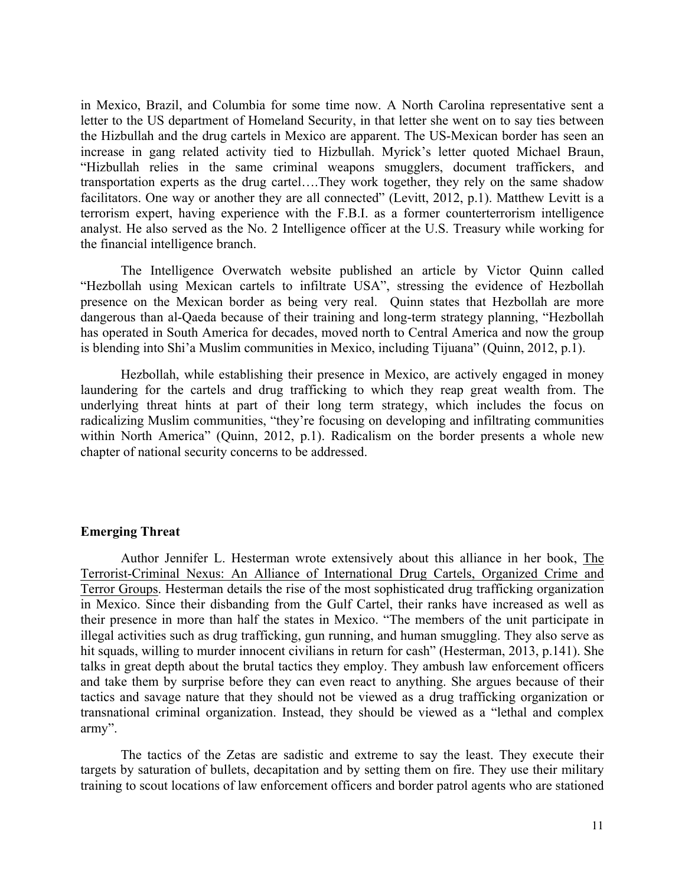in Mexico, Brazil, and Columbia for some time now. A North Carolina representative sent a letter to the US department of Homeland Security, in that letter she went on to say ties between the Hizbullah and the drug cartels in Mexico are apparent. The US-Mexican border has seen an increase in gang related activity tied to Hizbullah. Myrick's letter quoted Michael Braun, "Hizbullah relies in the same criminal weapons smugglers, document traffickers, and transportation experts as the drug cartel….They work together, they rely on the same shadow facilitators. One way or another they are all connected" (Levitt, 2012, p.1). Matthew Levitt is a terrorism expert, having experience with the F.B.I. as a former counterterrorism intelligence analyst. He also served as the No. 2 Intelligence officer at the U.S. Treasury while working for the financial intelligence branch.

The Intelligence Overwatch website published an article by Victor Quinn called "Hezbollah using Mexican cartels to infiltrate USA", stressing the evidence of Hezbollah presence on the Mexican border as being very real. Quinn states that Hezbollah are more dangerous than al-Qaeda because of their training and long-term strategy planning, "Hezbollah has operated in South America for decades, moved north to Central America and now the group is blending into Shi'a Muslim communities in Mexico, including Tijuana" (Quinn, 2012, p.1).

Hezbollah, while establishing their presence in Mexico, are actively engaged in money laundering for the cartels and drug trafficking to which they reap great wealth from. The underlying threat hints at part of their long term strategy, which includes the focus on radicalizing Muslim communities, "they're focusing on developing and infiltrating communities within North America" (Quinn, 2012, p.1). Radicalism on the border presents a whole new chapter of national security concerns to be addressed.

## **Emerging Threat**

Author Jennifer L. Hesterman wrote extensively about this alliance in her book, The Terrorist-Criminal Nexus: An Alliance of International Drug Cartels, Organized Crime and Terror Groups. Hesterman details the rise of the most sophisticated drug trafficking organization in Mexico. Since their disbanding from the Gulf Cartel, their ranks have increased as well as their presence in more than half the states in Mexico. "The members of the unit participate in illegal activities such as drug trafficking, gun running, and human smuggling. They also serve as hit squads, willing to murder innocent civilians in return for cash" (Hesterman, 2013, p.141). She talks in great depth about the brutal tactics they employ. They ambush law enforcement officers and take them by surprise before they can even react to anything. She argues because of their tactics and savage nature that they should not be viewed as a drug trafficking organization or transnational criminal organization. Instead, they should be viewed as a "lethal and complex army".

The tactics of the Zetas are sadistic and extreme to say the least. They execute their targets by saturation of bullets, decapitation and by setting them on fire. They use their military training to scout locations of law enforcement officers and border patrol agents who are stationed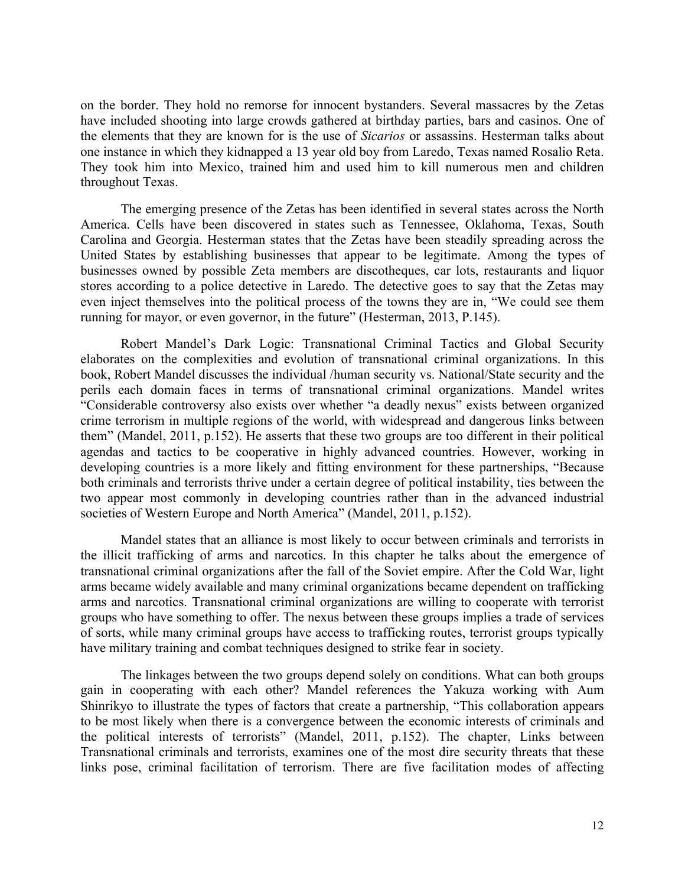on the border. They hold no remorse for innocent bystanders. Several massacres by the Zetas have included shooting into large crowds gathered at birthday parties, bars and casinos. One of the elements that they are known for is the use of *Sicarios* or assassins. Hesterman talks about one instance in which they kidnapped a 13 year old boy from Laredo, Texas named Rosalio Reta. They took him into Mexico, trained him and used him to kill numerous men and children throughout Texas.

The emerging presence of the Zetas has been identified in several states across the North America. Cells have been discovered in states such as Tennessee, Oklahoma, Texas, South Carolina and Georgia. Hesterman states that the Zetas have been steadily spreading across the United States by establishing businesses that appear to be legitimate. Among the types of businesses owned by possible Zeta members are discotheques, car lots, restaurants and liquor stores according to a police detective in Laredo. The detective goes to say that the Zetas may even inject themselves into the political process of the towns they are in, "We could see them running for mayor, or even governor, in the future" (Hesterman, 2013, P.145).

Robert Mandel's Dark Logic: Transnational Criminal Tactics and Global Security elaborates on the complexities and evolution of transnational criminal organizations. In this book, Robert Mandel discusses the individual /human security vs. National/State security and the perils each domain faces in terms of transnational criminal organizations. Mandel writes "Considerable controversy also exists over whether "a deadly nexus" exists between organized crime terrorism in multiple regions of the world, with widespread and dangerous links between them" (Mandel, 2011, p.152). He asserts that these two groups are too different in their political agendas and tactics to be cooperative in highly advanced countries. However, working in developing countries is a more likely and fitting environment for these partnerships, "Because both criminals and terrorists thrive under a certain degree of political instability, ties between the two appear most commonly in developing countries rather than in the advanced industrial societies of Western Europe and North America" (Mandel, 2011, p.152).

Mandel states that an alliance is most likely to occur between criminals and terrorists in the illicit trafficking of arms and narcotics. In this chapter he talks about the emergence of transnational criminal organizations after the fall of the Soviet empire. After the Cold War, light arms became widely available and many criminal organizations became dependent on trafficking arms and narcotics. Transnational criminal organizations are willing to cooperate with terrorist groups who have something to offer. The nexus between these groups implies a trade of services of sorts, while many criminal groups have access to trafficking routes, terrorist groups typically have military training and combat techniques designed to strike fear in society.

The linkages between the two groups depend solely on conditions. What can both groups gain in cooperating with each other? Mandel references the Yakuza working with Aum Shinrikyo to illustrate the types of factors that create a partnership, "This collaboration appears to be most likely when there is a convergence between the economic interests of criminals and the political interests of terrorists" (Mandel, 2011, p.152). The chapter, Links between Transnational criminals and terrorists, examines one of the most dire security threats that these links pose, criminal facilitation of terrorism. There are five facilitation modes of affecting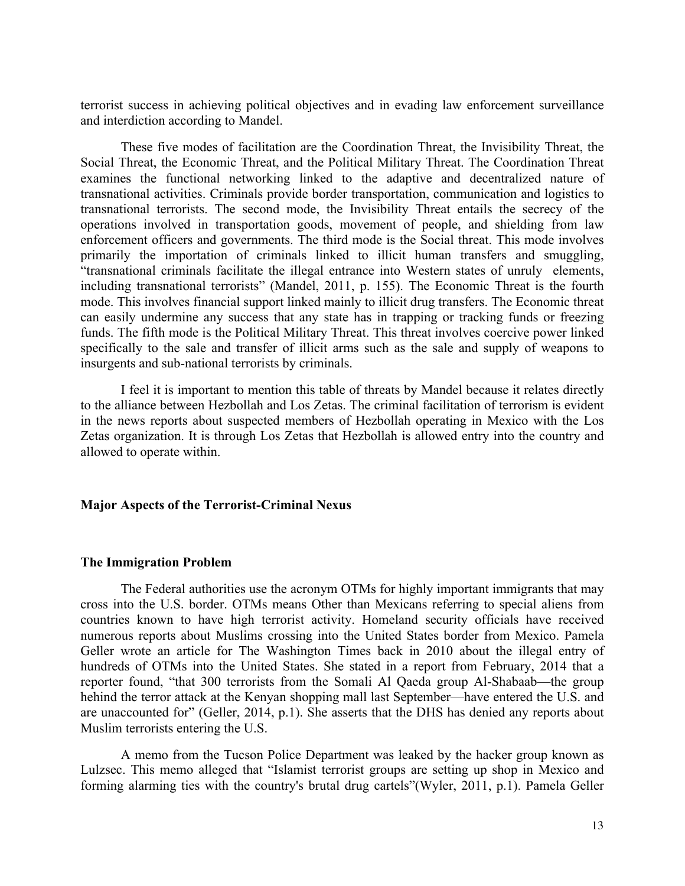terrorist success in achieving political objectives and in evading law enforcement surveillance and interdiction according to Mandel.

These five modes of facilitation are the Coordination Threat, the Invisibility Threat, the Social Threat, the Economic Threat, and the Political Military Threat. The Coordination Threat examines the functional networking linked to the adaptive and decentralized nature of transnational activities. Criminals provide border transportation, communication and logistics to transnational terrorists. The second mode, the Invisibility Threat entails the secrecy of the operations involved in transportation goods, movement of people, and shielding from law enforcement officers and governments. The third mode is the Social threat. This mode involves primarily the importation of criminals linked to illicit human transfers and smuggling, "transnational criminals facilitate the illegal entrance into Western states of unruly elements, including transnational terrorists" (Mandel, 2011, p. 155). The Economic Threat is the fourth mode. This involves financial support linked mainly to illicit drug transfers. The Economic threat can easily undermine any success that any state has in trapping or tracking funds or freezing funds. The fifth mode is the Political Military Threat. This threat involves coercive power linked specifically to the sale and transfer of illicit arms such as the sale and supply of weapons to insurgents and sub-national terrorists by criminals.

I feel it is important to mention this table of threats by Mandel because it relates directly to the alliance between Hezbollah and Los Zetas. The criminal facilitation of terrorism is evident in the news reports about suspected members of Hezbollah operating in Mexico with the Los Zetas organization. It is through Los Zetas that Hezbollah is allowed entry into the country and allowed to operate within.

## **Major Aspects of the Terrorist-Criminal Nexus**

#### **The Immigration Problem**

The Federal authorities use the acronym OTMs for highly important immigrants that may cross into the U.S. border. OTMs means Other than Mexicans referring to special aliens from countries known to have high terrorist activity. Homeland security officials have received numerous reports about Muslims crossing into the United States border from Mexico. Pamela Geller wrote an article for The Washington Times back in 2010 about the illegal entry of hundreds of OTMs into the United States. She stated in a report from February, 2014 that a reporter found, "that 300 terrorists from the Somali Al Qaeda group Al-Shabaab—the group hehind the terror attack at the Kenyan shopping mall last September—have entered the U.S. and are unaccounted for" (Geller, 2014, p.1). She asserts that the DHS has denied any reports about Muslim terrorists entering the U.S.

A memo from the Tucson Police Department was leaked by the hacker group known as Lulzsec. This memo alleged that "Islamist terrorist groups are setting up shop in Mexico and forming alarming ties with the country's brutal drug cartels"(Wyler, 2011, p.1). Pamela Geller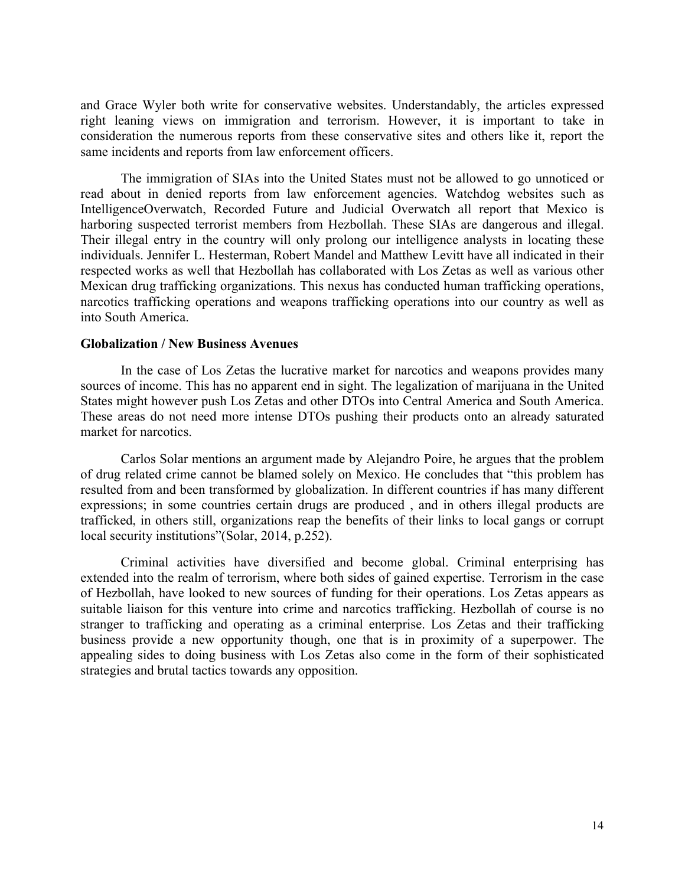and Grace Wyler both write for conservative websites. Understandably, the articles expressed right leaning views on immigration and terrorism. However, it is important to take in consideration the numerous reports from these conservative sites and others like it, report the same incidents and reports from law enforcement officers.

The immigration of SIAs into the United States must not be allowed to go unnoticed or read about in denied reports from law enforcement agencies. Watchdog websites such as IntelligenceOverwatch, Recorded Future and Judicial Overwatch all report that Mexico is harboring suspected terrorist members from Hezbollah. These SIAs are dangerous and illegal. Their illegal entry in the country will only prolong our intelligence analysts in locating these individuals. Jennifer L. Hesterman, Robert Mandel and Matthew Levitt have all indicated in their respected works as well that Hezbollah has collaborated with Los Zetas as well as various other Mexican drug trafficking organizations. This nexus has conducted human trafficking operations, narcotics trafficking operations and weapons trafficking operations into our country as well as into South America.

## **Globalization / New Business Avenues**

In the case of Los Zetas the lucrative market for narcotics and weapons provides many sources of income. This has no apparent end in sight. The legalization of marijuana in the United States might however push Los Zetas and other DTOs into Central America and South America. These areas do not need more intense DTOs pushing their products onto an already saturated market for narcotics.

Carlos Solar mentions an argument made by Alejandro Poire, he argues that the problem of drug related crime cannot be blamed solely on Mexico. He concludes that "this problem has resulted from and been transformed by globalization. In different countries if has many different expressions; in some countries certain drugs are produced , and in others illegal products are trafficked, in others still, organizations reap the benefits of their links to local gangs or corrupt local security institutions"(Solar, 2014, p.252).

Criminal activities have diversified and become global. Criminal enterprising has extended into the realm of terrorism, where both sides of gained expertise. Terrorism in the case of Hezbollah, have looked to new sources of funding for their operations. Los Zetas appears as suitable liaison for this venture into crime and narcotics trafficking. Hezbollah of course is no stranger to trafficking and operating as a criminal enterprise. Los Zetas and their trafficking business provide a new opportunity though, one that is in proximity of a superpower. The appealing sides to doing business with Los Zetas also come in the form of their sophisticated strategies and brutal tactics towards any opposition.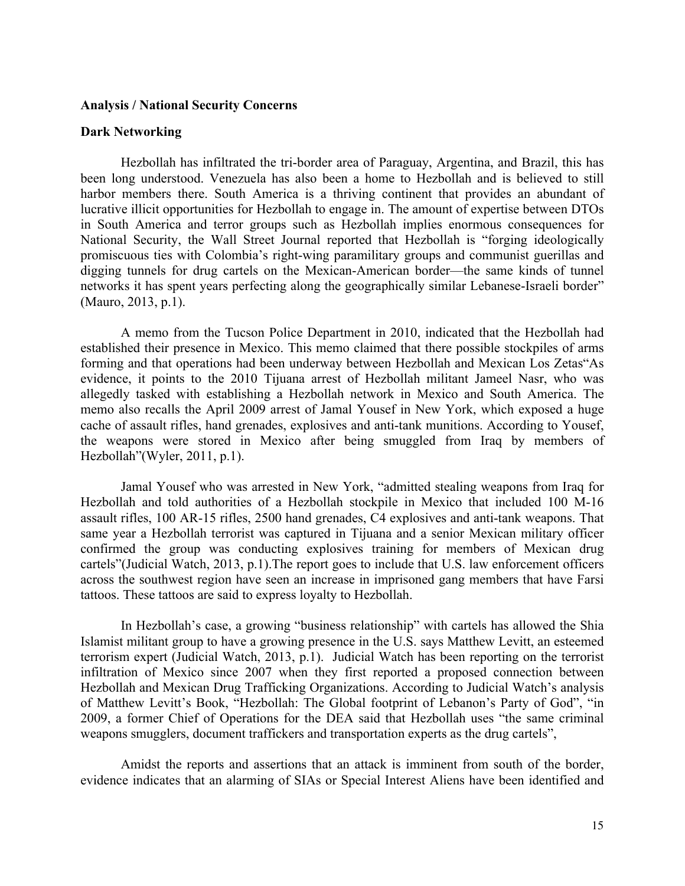## **Analysis / National Security Concerns**

## **Dark Networking**

Hezbollah has infiltrated the tri-border area of Paraguay, Argentina, and Brazil, this has been long understood. Venezuela has also been a home to Hezbollah and is believed to still harbor members there. South America is a thriving continent that provides an abundant of lucrative illicit opportunities for Hezbollah to engage in. The amount of expertise between DTOs in South America and terror groups such as Hezbollah implies enormous consequences for National Security, the Wall Street Journal reported that Hezbollah is "forging ideologically promiscuous ties with Colombia's right-wing paramilitary groups and communist guerillas and digging tunnels for drug cartels on the Mexican-American border—the same kinds of tunnel networks it has spent years perfecting along the geographically similar Lebanese-Israeli border" (Mauro, 2013, p.1).

A memo from the Tucson Police Department in 2010, indicated that the Hezbollah had established their presence in Mexico. This memo claimed that there possible stockpiles of arms forming and that operations had been underway between Hezbollah and Mexican Los Zetas"As evidence, it points to the 2010 Tijuana arrest of Hezbollah militant Jameel Nasr, who was allegedly tasked with establishing a Hezbollah network in Mexico and South America. The memo also recalls the April 2009 arrest of Jamal Yousef in New York, which exposed a huge cache of assault rifles, hand grenades, explosives and anti-tank munitions. According to Yousef, the weapons were stored in Mexico after being smuggled from Iraq by members of Hezbollah"(Wyler, 2011, p.1).

Jamal Yousef who was arrested in New York, "admitted stealing weapons from Iraq for Hezbollah and told authorities of a Hezbollah stockpile in Mexico that included 100 M-16 assault rifles, 100 AR-15 rifles, 2500 hand grenades, C4 explosives and anti-tank weapons. That same year a Hezbollah terrorist was captured in Tijuana and a senior Mexican military officer confirmed the group was conducting explosives training for members of Mexican drug cartels"(Judicial Watch, 2013, p.1).The report goes to include that U.S. law enforcement officers across the southwest region have seen an increase in imprisoned gang members that have Farsi tattoos. These tattoos are said to express loyalty to Hezbollah.

In Hezbollah's case, a growing "business relationship" with cartels has allowed the Shia Islamist militant group to have a growing presence in the U.S. says Matthew Levitt, an esteemed terrorism expert (Judicial Watch, 2013, p.1). Judicial Watch has been reporting on the terrorist infiltration of Mexico since 2007 when they first reported a proposed connection between Hezbollah and Mexican Drug Trafficking Organizations. According to Judicial Watch's analysis of Matthew Levitt's Book, "Hezbollah: The Global footprint of Lebanon's Party of God", "in 2009, a former Chief of Operations for the DEA said that Hezbollah uses "the same criminal weapons smugglers, document traffickers and transportation experts as the drug cartels",

Amidst the reports and assertions that an attack is imminent from south of the border, evidence indicates that an alarming of SIAs or Special Interest Aliens have been identified and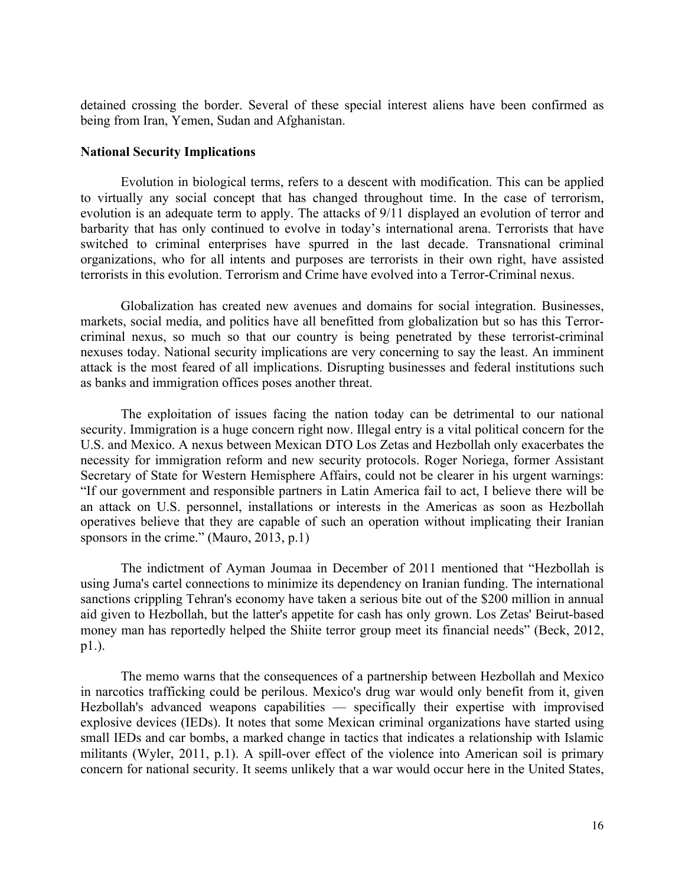detained crossing the border. Several of these special interest aliens have been confirmed as being from Iran, Yemen, Sudan and Afghanistan.

## **National Security Implications**

Evolution in biological terms, refers to a descent with modification. This can be applied to virtually any social concept that has changed throughout time. In the case of terrorism, evolution is an adequate term to apply. The attacks of 9/11 displayed an evolution of terror and barbarity that has only continued to evolve in today's international arena. Terrorists that have switched to criminal enterprises have spurred in the last decade. Transnational criminal organizations, who for all intents and purposes are terrorists in their own right, have assisted terrorists in this evolution. Terrorism and Crime have evolved into a Terror-Criminal nexus.

Globalization has created new avenues and domains for social integration. Businesses, markets, social media, and politics have all benefitted from globalization but so has this Terrorcriminal nexus, so much so that our country is being penetrated by these terrorist-criminal nexuses today. National security implications are very concerning to say the least. An imminent attack is the most feared of all implications. Disrupting businesses and federal institutions such as banks and immigration offices poses another threat.

The exploitation of issues facing the nation today can be detrimental to our national security. Immigration is a huge concern right now. Illegal entry is a vital political concern for the U.S. and Mexico. A nexus between Mexican DTO Los Zetas and Hezbollah only exacerbates the necessity for immigration reform and new security protocols. Roger Noriega, former Assistant Secretary of State for Western Hemisphere Affairs, could not be clearer in his urgent warnings: "If our government and responsible partners in Latin America fail to act, I believe there will be an attack on U.S. personnel, installations or interests in the Americas as soon as Hezbollah operatives believe that they are capable of such an operation without implicating their Iranian sponsors in the crime." (Mauro, 2013, p.1)

The indictment of Ayman Joumaa in December of 2011 mentioned that "Hezbollah is using Juma's cartel connections to minimize its dependency on Iranian funding. The international sanctions crippling Tehran's economy have taken a serious bite out of the \$200 million in annual aid given to Hezbollah, but the latter's appetite for cash has only grown. Los Zetas' Beirut-based money man has reportedly helped the Shiite terror group meet its financial needs" (Beck, 2012, p1.).

The memo warns that the consequences of a partnership between Hezbollah and Mexico in narcotics trafficking could be perilous. Mexico's drug war would only benefit from it, given Hezbollah's advanced weapons capabilities — specifically their expertise with improvised explosive devices (IEDs). It notes that some Mexican criminal organizations have started using small IEDs and car bombs, a marked change in tactics that indicates a relationship with Islamic militants (Wyler, 2011, p.1). A spill-over effect of the violence into American soil is primary concern for national security. It seems unlikely that a war would occur here in the United States,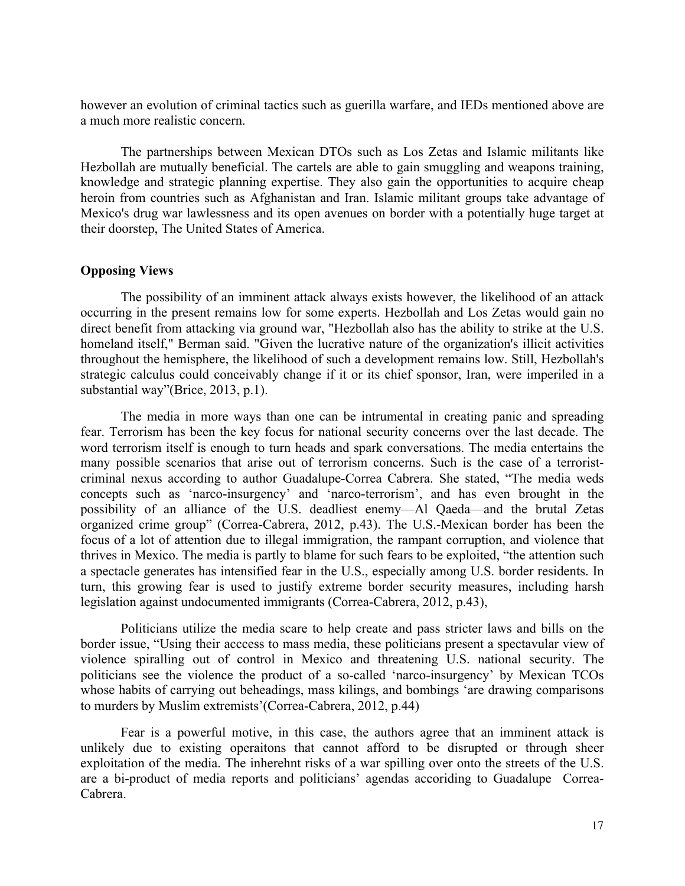however an evolution of criminal tactics such as guerilla warfare, and IEDs mentioned above are a much more realistic concern.

The partnerships between Mexican DTOs such as Los Zetas and Islamic militants like Hezbollah are mutually beneficial. The cartels are able to gain smuggling and weapons training, knowledge and strategic planning expertise. They also gain the opportunities to acquire cheap heroin from countries such as Afghanistan and Iran. Islamic militant groups take advantage of Mexico's drug war lawlessness and its open avenues on border with a potentially huge target at their doorstep, The United States of America.

## **Opposing Views**

The possibility of an imminent attack always exists however, the likelihood of an attack occurring in the present remains low for some experts. Hezbollah and Los Zetas would gain no direct benefit from attacking via ground war, "Hezbollah also has the ability to strike at the U.S. homeland itself," Berman said. "Given the lucrative nature of the organization's illicit activities throughout the hemisphere, the likelihood of such a development remains low. Still, Hezbollah's strategic calculus could conceivably change if it or its chief sponsor, Iran, were imperiled in a substantial way"(Brice, 2013, p.1).

The media in more ways than one can be intrumental in creating panic and spreading fear. Terrorism has been the key focus for national security concerns over the last decade. The word terrorism itself is enough to turn heads and spark conversations. The media entertains the many possible scenarios that arise out of terrorism concerns. Such is the case of a terroristcriminal nexus according to author Guadalupe-Correa Cabrera. She stated, "The media weds concepts such as 'narco-insurgency' and 'narco-terrorism', and has even brought in the possibility of an alliance of the U.S. deadliest enemy—Al Qaeda—and the brutal Zetas organized crime group" (Correa-Cabrera, 2012, p.43). The U.S.-Mexican border has been the focus of a lot of attention due to illegal immigration, the rampant corruption, and violence that thrives in Mexico. The media is partly to blame for such fears to be exploited, "the attention such a spectacle generates has intensified fear in the U.S., especially among U.S. border residents. In turn, this growing fear is used to justify extreme border security measures, including harsh legislation against undocumented immigrants (Correa-Cabrera, 2012, p.43),

Politicians utilize the media scare to help create and pass stricter laws and bills on the border issue, "Using their acccess to mass media, these politicians present a spectavular view of violence spiralling out of control in Mexico and threatening U.S. national security. The politicians see the violence the product of a so-called 'narco-insurgency' by Mexican TCOs whose habits of carrying out beheadings, mass kilings, and bombings 'are drawing comparisons to murders by Muslim extremists'(Correa-Cabrera, 2012, p.44)

Fear is a powerful motive, in this case, the authors agree that an imminent attack is unlikely due to existing operaitons that cannot afford to be disrupted or through sheer exploitation of the media. The inherehnt risks of a war spilling over onto the streets of the U.S. are a bi-product of media reports and politicians' agendas accoriding to Guadalupe Correa-Cabrera.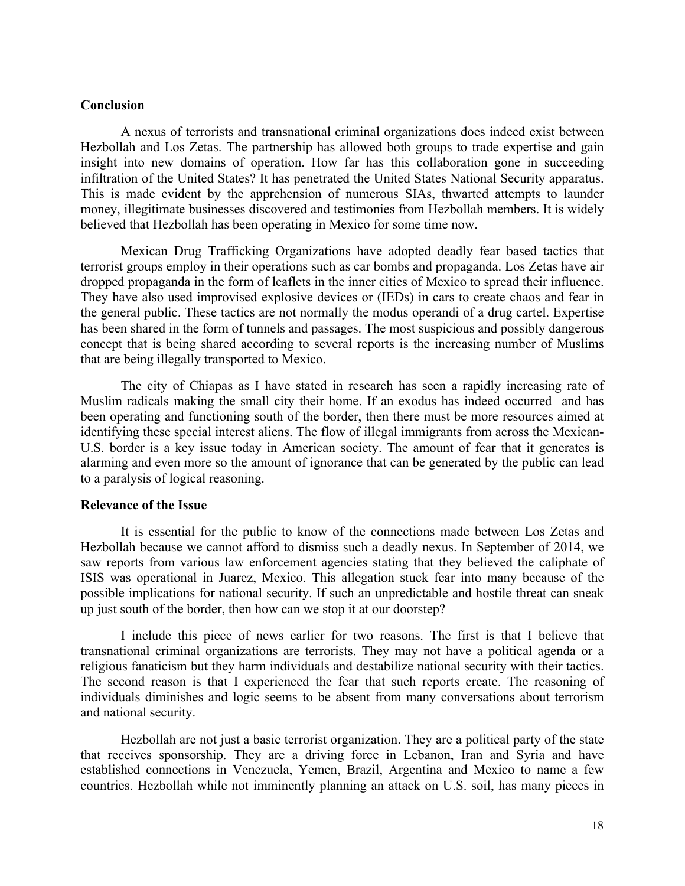# **Conclusion**

A nexus of terrorists and transnational criminal organizations does indeed exist between Hezbollah and Los Zetas. The partnership has allowed both groups to trade expertise and gain insight into new domains of operation. How far has this collaboration gone in succeeding infiltration of the United States? It has penetrated the United States National Security apparatus. This is made evident by the apprehension of numerous SIAs, thwarted attempts to launder money, illegitimate businesses discovered and testimonies from Hezbollah members. It is widely believed that Hezbollah has been operating in Mexico for some time now.

Mexican Drug Trafficking Organizations have adopted deadly fear based tactics that terrorist groups employ in their operations such as car bombs and propaganda. Los Zetas have air dropped propaganda in the form of leaflets in the inner cities of Mexico to spread their influence. They have also used improvised explosive devices or (IEDs) in cars to create chaos and fear in the general public. These tactics are not normally the modus operandi of a drug cartel. Expertise has been shared in the form of tunnels and passages. The most suspicious and possibly dangerous concept that is being shared according to several reports is the increasing number of Muslims that are being illegally transported to Mexico.

The city of Chiapas as I have stated in research has seen a rapidly increasing rate of Muslim radicals making the small city their home. If an exodus has indeed occurred and has been operating and functioning south of the border, then there must be more resources aimed at identifying these special interest aliens. The flow of illegal immigrants from across the Mexican-U.S. border is a key issue today in American society. The amount of fear that it generates is alarming and even more so the amount of ignorance that can be generated by the public can lead to a paralysis of logical reasoning.

# **Relevance of the Issue**

It is essential for the public to know of the connections made between Los Zetas and Hezbollah because we cannot afford to dismiss such a deadly nexus. In September of 2014, we saw reports from various law enforcement agencies stating that they believed the caliphate of ISIS was operational in Juarez, Mexico. This allegation stuck fear into many because of the possible implications for national security. If such an unpredictable and hostile threat can sneak up just south of the border, then how can we stop it at our doorstep?

I include this piece of news earlier for two reasons. The first is that I believe that transnational criminal organizations are terrorists. They may not have a political agenda or a religious fanaticism but they harm individuals and destabilize national security with their tactics. The second reason is that I experienced the fear that such reports create. The reasoning of individuals diminishes and logic seems to be absent from many conversations about terrorism and national security.

Hezbollah are not just a basic terrorist organization. They are a political party of the state that receives sponsorship. They are a driving force in Lebanon, Iran and Syria and have established connections in Venezuela, Yemen, Brazil, Argentina and Mexico to name a few countries. Hezbollah while not imminently planning an attack on U.S. soil, has many pieces in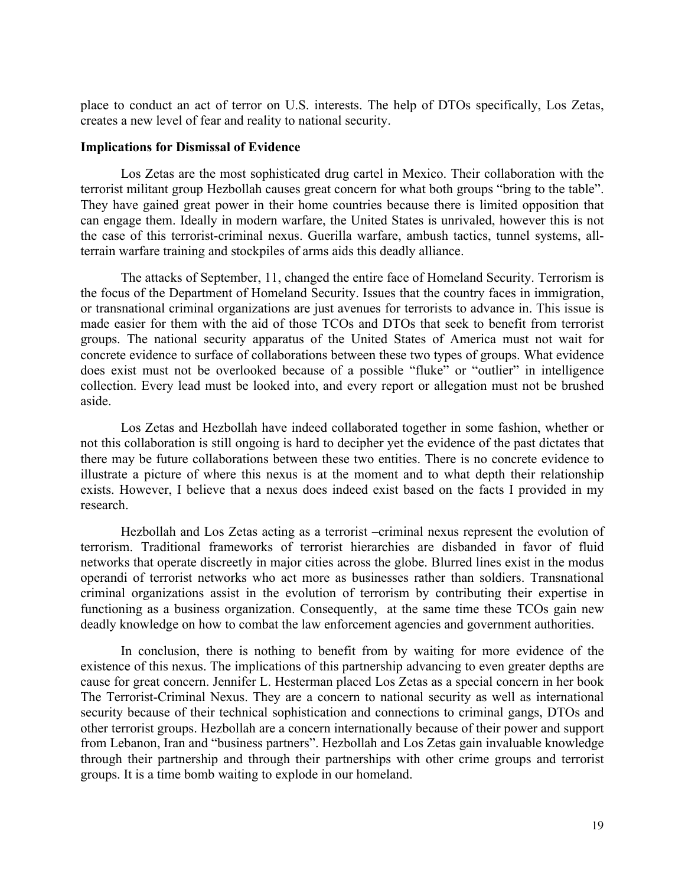place to conduct an act of terror on U.S. interests. The help of DTOs specifically, Los Zetas, creates a new level of fear and reality to national security.

## **Implications for Dismissal of Evidence**

Los Zetas are the most sophisticated drug cartel in Mexico. Their collaboration with the terrorist militant group Hezbollah causes great concern for what both groups "bring to the table". They have gained great power in their home countries because there is limited opposition that can engage them. Ideally in modern warfare, the United States is unrivaled, however this is not the case of this terrorist-criminal nexus. Guerilla warfare, ambush tactics, tunnel systems, allterrain warfare training and stockpiles of arms aids this deadly alliance.

The attacks of September, 11, changed the entire face of Homeland Security. Terrorism is the focus of the Department of Homeland Security. Issues that the country faces in immigration, or transnational criminal organizations are just avenues for terrorists to advance in. This issue is made easier for them with the aid of those TCOs and DTOs that seek to benefit from terrorist groups. The national security apparatus of the United States of America must not wait for concrete evidence to surface of collaborations between these two types of groups. What evidence does exist must not be overlooked because of a possible "fluke" or "outlier" in intelligence collection. Every lead must be looked into, and every report or allegation must not be brushed aside.

Los Zetas and Hezbollah have indeed collaborated together in some fashion, whether or not this collaboration is still ongoing is hard to decipher yet the evidence of the past dictates that there may be future collaborations between these two entities. There is no concrete evidence to illustrate a picture of where this nexus is at the moment and to what depth their relationship exists. However, I believe that a nexus does indeed exist based on the facts I provided in my research.

Hezbollah and Los Zetas acting as a terrorist –criminal nexus represent the evolution of terrorism. Traditional frameworks of terrorist hierarchies are disbanded in favor of fluid networks that operate discreetly in major cities across the globe. Blurred lines exist in the modus operandi of terrorist networks who act more as businesses rather than soldiers. Transnational criminal organizations assist in the evolution of terrorism by contributing their expertise in functioning as a business organization. Consequently, at the same time these TCOs gain new deadly knowledge on how to combat the law enforcement agencies and government authorities.

In conclusion, there is nothing to benefit from by waiting for more evidence of the existence of this nexus. The implications of this partnership advancing to even greater depths are cause for great concern. Jennifer L. Hesterman placed Los Zetas as a special concern in her book The Terrorist-Criminal Nexus. They are a concern to national security as well as international security because of their technical sophistication and connections to criminal gangs, DTOs and other terrorist groups. Hezbollah are a concern internationally because of their power and support from Lebanon, Iran and "business partners". Hezbollah and Los Zetas gain invaluable knowledge through their partnership and through their partnerships with other crime groups and terrorist groups. It is a time bomb waiting to explode in our homeland.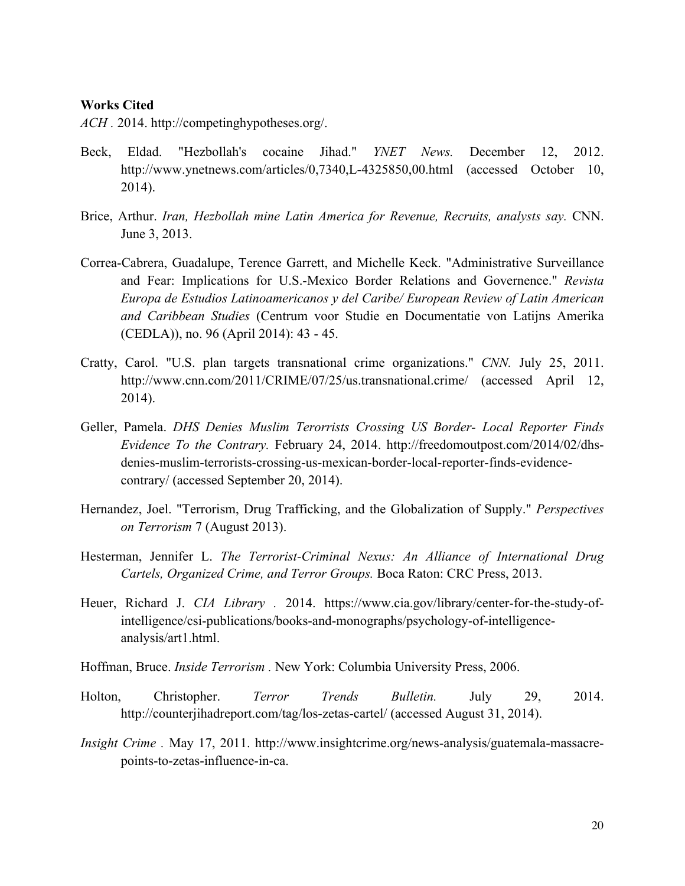# **Works Cited**

*ACH .* 2014. http://competinghypotheses.org/.

- Beck, Eldad. "Hezbollah's cocaine Jihad." *YNET News.* December 12, 2012. http://www.ynetnews.com/articles/0,7340,L-4325850,00.html (accessed October 10, 2014).
- Brice, Arthur. *Iran, Hezbollah mine Latin America for Revenue, Recruits, analysts say.* CNN. June 3, 2013.
- Correa-Cabrera, Guadalupe, Terence Garrett, and Michelle Keck. "Administrative Surveillance and Fear: Implications for U.S.-Mexico Border Relations and Governence." *Revista Europa de Estudios Latinoamericanos y del Caribe/ European Review of Latin American and Caribbean Studies* (Centrum voor Studie en Documentatie von Latijns Amerika (CEDLA)), no. 96 (April 2014): 43 - 45.
- Cratty, Carol. "U.S. plan targets transnational crime organizations." *CNN.* July 25, 2011. http://www.cnn.com/2011/CRIME/07/25/us.transnational.crime/ (accessed April 12, 2014).
- Geller, Pamela. *DHS Denies Muslim Terorrists Crossing US Border- Local Reporter Finds Evidence To the Contrary.* February 24, 2014. http://freedomoutpost.com/2014/02/dhsdenies-muslim-terrorists-crossing-us-mexican-border-local-reporter-finds-evidencecontrary/ (accessed September 20, 2014).
- Hernandez, Joel. "Terrorism, Drug Trafficking, and the Globalization of Supply." *Perspectives on Terrorism* 7 (August 2013).
- Hesterman, Jennifer L. *The Terrorist-Criminal Nexus: An Alliance of International Drug Cartels, Organized Crime, and Terror Groups.* Boca Raton: CRC Press, 2013.
- Heuer, Richard J. *CIA Library .* 2014. https://www.cia.gov/library/center-for-the-study-ofintelligence/csi-publications/books-and-monographs/psychology-of-intelligenceanalysis/art1.html.
- Hoffman, Bruce. *Inside Terrorism .* New York: Columbia University Press, 2006.
- Holton, Christopher. *Terror Trends Bulletin.* July 29, 2014. http://counterjihadreport.com/tag/los-zetas-cartel/ (accessed August 31, 2014).
- *Insight Crime .* May 17, 2011. http://www.insightcrime.org/news-analysis/guatemala-massacrepoints-to-zetas-influence-in-ca.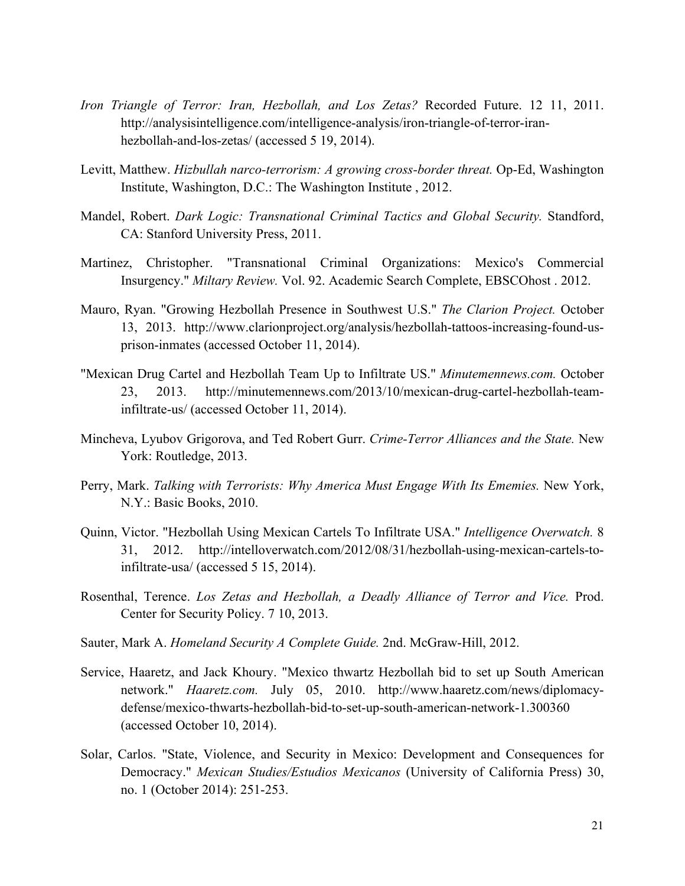- *Iron Triangle of Terror: Iran, Hezbollah, and Los Zetas?* Recorded Future. 12 11, 2011. http://analysisintelligence.com/intelligence-analysis/iron-triangle-of-terror-iranhezbollah-and-los-zetas/ (accessed 5 19, 2014).
- Levitt, Matthew. *Hizbullah narco-terrorism: A growing cross-border threat.* Op-Ed, Washington Institute, Washington, D.C.: The Washington Institute , 2012.
- Mandel, Robert. *Dark Logic: Transnational Criminal Tactics and Global Security.* Standford, CA: Stanford University Press, 2011.
- Martinez, Christopher. "Transnational Criminal Organizations: Mexico's Commercial Insurgency." *Miltary Review.* Vol. 92. Academic Search Complete, EBSCOhost . 2012.
- Mauro, Ryan. "Growing Hezbollah Presence in Southwest U.S." *The Clarion Project.* October 13, 2013. http://www.clarionproject.org/analysis/hezbollah-tattoos-increasing-found-usprison-inmates (accessed October 11, 2014).
- "Mexican Drug Cartel and Hezbollah Team Up to Infiltrate US." *Minutemennews.com.* October 23, 2013. http://minutemennews.com/2013/10/mexican-drug-cartel-hezbollah-teaminfiltrate-us/ (accessed October 11, 2014).
- Mincheva, Lyubov Grigorova, and Ted Robert Gurr. *Crime-Terror Alliances and the State.* New York: Routledge, 2013.
- Perry, Mark. *Talking with Terrorists: Why America Must Engage With Its Ememies.* New York, N.Y.: Basic Books, 2010.
- Quinn, Victor. "Hezbollah Using Mexican Cartels To Infiltrate USA." *Intelligence Overwatch.* 8 31, 2012. http://intelloverwatch.com/2012/08/31/hezbollah-using-mexican-cartels-toinfiltrate-usa/ (accessed 5 15, 2014).
- Rosenthal, Terence. *Los Zetas and Hezbollah, a Deadly Alliance of Terror and Vice.* Prod. Center for Security Policy. 7 10, 2013.
- Sauter, Mark A. *Homeland Security A Complete Guide.* 2nd. McGraw-Hill, 2012.
- Service, Haaretz, and Jack Khoury. "Mexico thwartz Hezbollah bid to set up South American network." *Haaretz.com.* July 05, 2010. http://www.haaretz.com/news/diplomacydefense/mexico-thwarts-hezbollah-bid-to-set-up-south-american-network-1.300360 (accessed October 10, 2014).
- Solar, Carlos. "State, Violence, and Security in Mexico: Development and Consequences for Democracy." *Mexican Studies/Estudios Mexicanos* (University of California Press) 30, no. 1 (October 2014): 251-253.